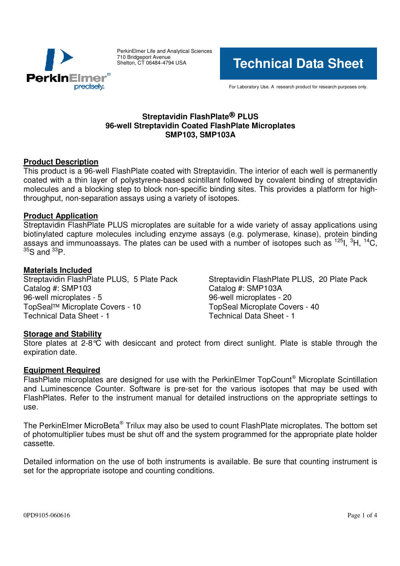

PerkinElmer Life and Analytical Sciences 710 Bridgeport Avenue Shelton, CT 06484-4794 USA

**Technical Data Sheet**

For Laboratory Use. A research product for research purposes only.

# **Streptavidin FlashPlate PLUS 96-well Streptavidin Coated FlashPlate Microplates SMP103, SMP103A**

# **Product Description**

This product is a 96-well FlashPlate coated with Streptavidin. The interior of each well is permanently coated with a thin layer of polystyrene-based scintillant followed by covalent binding of streptavidin molecules and a blocking step to block non-specific binding sites. This provides a platform for highthroughput, non-separation assays using a variety of isotopes.

## **Product Application**

Streptavidin FlashPlate PLUS microplates are suitable for a wide variety of assay applications using biotinylated capture molecules including enzyme assays (e.g. polymerase, kinase), protein binding assays and immunoassays. The plates can be used with a number of isotopes such as <sup>125</sup>l, <sup>3</sup>H, <sup>14</sup>C,  ${}^{35}S$  and  ${}^{33}P$ .

**Materials Included** Catalog #: SMP103 Catalog #: SMP103A 96-well microplates - 5 96-well microplates - 20 TopSeal™ Microplate Covers - 10 TopSeal Microplate Covers - 40 Technical Data Sheet - 1 Technical Data Sheet - 1

Streptavidin FlashPlate PLUS, 20 Plate Pack

# **Storage and Stability**

Store plates at  $2-8^{\circ}C$  with desiccant and protect from direct sunlight. Plate is stable through the expiration date.

# **Equipment Required**

FlashPlate microplates are designed for use with the PerkinElmer TopCount® Microplate Scintillation and Luminescence Counter. Software is pre-set for the various isotopes that may be used with FlashPlates. Refer to the instrument manual for detailed instructions on the appropriate settings to use.

The PerkinElmer MicroBeta® Trilux may also be used to count FlashPlate microplates. The bottom set of photomultiplier tubes must be shut off and the system programmed for the appropriate plate holder cassette.

Detailed information on the use of both instruments is available. Be sure that counting instrument is set for the appropriate isotope and counting conditions.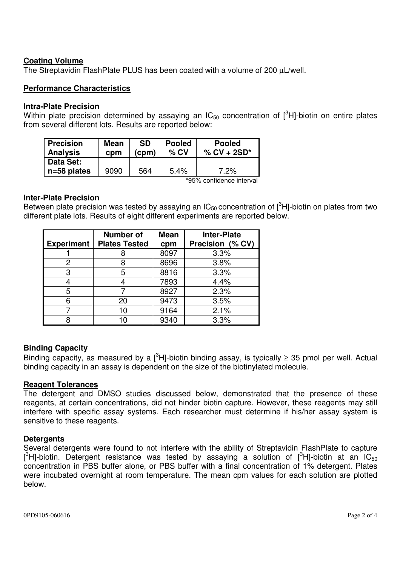## **Coating Volume**

The Streptavidin FlashPlate PLUS has been coated with a volume of 200  $\mu$ L/well.

## **Performance Characteristics**

#### **Intra-Plate Precision**

Within plate precision determined by assaying an IC<sub>50</sub> concentration of  $[^3$ H]-biotin on entire plates from several different lots. Results are reported below:

| <b>Precision</b><br><b>Analysis</b> | <b>Mean</b><br>cpm | SD<br>(cpm) | <b>Pooled</b><br>$%$ CV          | <b>Pooled</b><br>$%$ CV + 2SD* |
|-------------------------------------|--------------------|-------------|----------------------------------|--------------------------------|
| Data Set:                           |                    |             |                                  |                                |
| $n=58$ plates                       | 9090               | 564         | 5.4%<br>$\cdots$ $\sim$ $\cdots$ | $7.2\%$<br>. .                 |

\*95% confidence interval

#### **Inter-Plate Precision**

Between plate precision was tested by assaying an IC<sub>50</sub> concentration of [<sup>3</sup>H]-biotin on plates from two different plate lots. Results of eight different experiments are reported below.

| <b>Experiment</b> | <b>Number of</b><br><b>Plates Tested</b> | <b>Mean</b><br>cpm | <b>Inter-Plate</b><br>Precision (% CV) |
|-------------------|------------------------------------------|--------------------|----------------------------------------|
|                   |                                          | 8097               | 3.3%                                   |
| 2                 |                                          | 8696               | 3.8%                                   |
| 3                 | 5                                        | 8816               | 3.3%                                   |
|                   |                                          | 7893               | 4.4%                                   |
| 5                 |                                          | 8927               | 2.3%                                   |
| 6                 | 20                                       | 9473               | 3.5%                                   |
|                   | 10                                       | 9164               | 2.1%                                   |
|                   |                                          | 9340               | 3.3%                                   |

### **Binding Capacity**

Binding capacity, as measured by a [<sup>3</sup>H]-biotin binding assay, is typically  $\geq$  35 pmol per well. Actual binding capacity in an assay is dependent on the size of the biotinylated molecule.

### **Reagent Tolerances**

The detergent and DMSO studies discussed below, demonstrated that the presence of these reagents, at certain concentrations, did not hinder biotin capture. However, these reagents may still interfere with specific assay systems. Each researcher must determine if his/her assay system is sensitive to these reagents.

### **Detergents**

Several detergents were found to not interfere with the ability of Streptavidin FlashPlate to capture [<sup>3</sup>H]-biotin. Detergent resistance was tested by assaying a solution of [<sup>3</sup>H]-biotin at an IC<sub>50</sub> concentration in PBS buffer alone, or PBS buffer with a final concentration of 1% detergent. Plates were incubated overnight at room temperature. The mean cpm values for each solution are plotted below.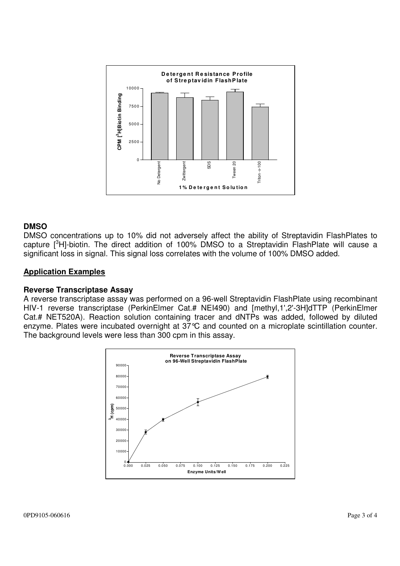

### **DMSO**

DMSO concentrations up to 10% did not adversely affect the ability of Streptavidin FlashPlates to capture [<sup>3</sup>H]-biotin. The direct addition of 100% DMSO to a Streptavidin FlashPlate will cause a significant loss in signal. This signal loss correlates with the volume of 100% DMSO added.

#### **Application Examples**

#### **Reverse Transcriptase Assay**

A reverse transcriptase assay was performed on a 96-well Streptavidin FlashPlate using recombinant HIV-1 reverse transcriptase (PerkinElmer Cat.# NEI490) and [methyl,1',2'-3H]dTTP (PerkinElmer Cat.# NET520A). Reaction solution containing tracer and dNTPs was added, followed by diluted enzyme. Plates were incubated overnight at 37°C and counted on a microplate scintillation counter. The background levels were less than 300 cpm in this assay.